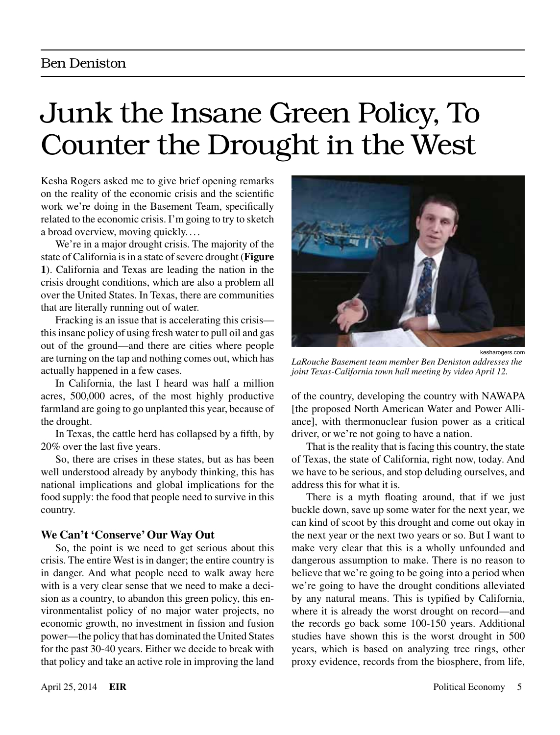# Junk the Insane Green Policy, To Counter the Drought in the West

Kesha Rogers asked me to give brief opening remarks on the reality of the economic crisis and the scientific work we're doing in the Basement Team, specifically related to the economic crisis. I'm going to try to sketch a broad overview, moving quickly. ...

We're in a major drought crisis. The majority of the state of California is in a state of severe drought (**Figure 1**). California and Texas are leading the nation in the crisis drought conditions, which are also a problem all over the United States. In Texas, there are communities that are literally running out of water.

Fracking is an issue that is accelerating this crisis this insane policy of using fresh water to pull oil and gas out of the ground—and there are cities where people are turning on the tap and nothing comes out, which has actually happened in a few cases.

In California, the last I heard was half a million acres, 500,000 acres, of the most highly productive farmland are going to go unplanted this year, because of the drought.

In Texas, the cattle herd has collapsed by a fifth, by 20% over the last five years.

So, there are crises in these states, but as has been well understood already by anybody thinking, this has national implications and global implications for the food supply: the food that people need to survive in this country.

# **We Can't 'Conserve' Our Way Out**

So, the point is we need to get serious about this crisis. The entire West is in danger; the entire country is in danger. And what people need to walk away here with is a very clear sense that we need to make a decision as a country, to abandon this green policy, this environmentalist policy of no major water projects, no economic growth, no investment in fission and fusion power—the policy that has dominated the United States for the past 30-40 years. Either we decide to break with that policy and take an active role in improving the land



*LaRouche Basement team member Ben Deniston addresses the joint Texas-California town hall meeting by video April 12.*

of the country, developing the country with NAWAPA [the proposed North American Water and Power Alliance], with thermonuclear fusion power as a critical driver, or we're not going to have a nation.

That is the reality that is facing this country, the state of Texas, the state of California, right now, today. And we have to be serious, and stop deluding ourselves, and address this for what it is.

There is a myth floating around, that if we just buckle down, save up some water for the next year, we can kind of scoot by this drought and come out okay in the next year or the next two years or so. But I want to make very clear that this is a wholly unfounded and dangerous assumption to make. There is no reason to believe that we're going to be going into a period when we're going to have the drought conditions alleviated by any natural means. This is typified by California, where it is already the worst drought on record—and the records go back some 100-150 years. Additional studies have shown this is the worst drought in 500 years, which is based on analyzing tree rings, other proxy evidence, records from the biosphere, from life,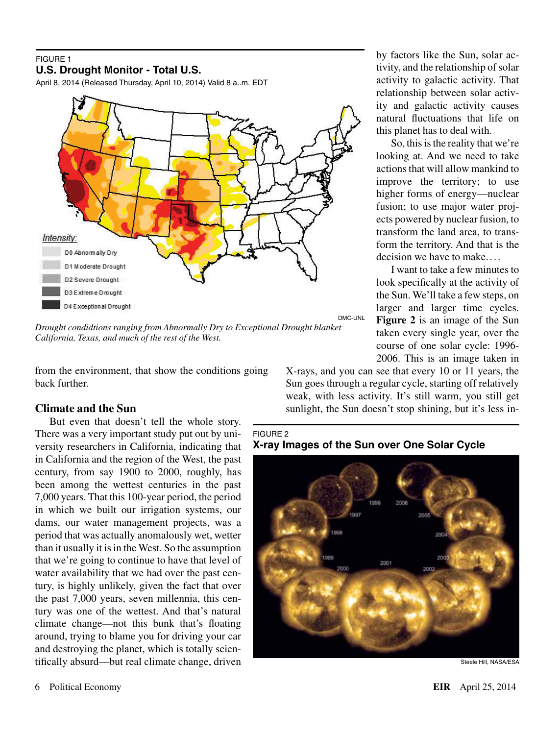#### FIGURE 1 **U.S. Drought Monitor - Total U.S.**

April 8, 2014 (Released Thursday, April 10, 2014) Valid 8 a..m. EDT



*Drought condidtions ranging from Abnormally Dry to Exceptional Drought blanket California, Texas, and much of the rest of the West.*

from the environment, that show the conditions going back further.

# **Climate and the Sun**

But even that doesn't tell the whole story. There was a very important study put out by university researchers in California, indicating that in California and the region of the West, the past century, from say 1900 to 2000, roughly, has been among the wettest centuries in the past 7,000 years. That this 100-year period, the period in which we built our irrigation systems, our dams, our water management projects, was a period that was actually anomalously wet, wetter than it usually it is in the West. So the assumption that we're going to continue to have that level of water availability that we had over the past century, is highly unlikely, given the fact that over the past 7,000 years, seven millennia, this century was one of the wettest. And that's natural climate change—not this bunk that's floating around, trying to blame you for driving your car and destroying the planet, which is totally scientifically absurd—but real climate change, driven

by factors like the Sun, solar activity, and the relationship of solar activity to galactic activity. That relationship between solar activity and galactic activity causes natural fluctuations that life on this planet has to deal with.

So, this is the reality that we're looking at. And we need to take actions that will allow mankind to improve the territory; to use higher forms of energy—nuclear fusion; to use major water projects powered by nuclear fusion, to transform the land area, to transform the territory. And that is the decision we have to make....

I want to take a few minutes to look specifically at the activity of the Sun. We'll take a few steps, on larger and larger time cycles. **Figure 2** is an image of the Sun taken every single year, over the course of one solar cycle: 1996- 2006. This is an image taken in

X-rays, and you can see that every 10 or 11 years, the Sun goes through a regular cycle, starting off relatively weak, with less activity. It's still warm, you still get sunlight, the Sun doesn't stop shining, but it's less in-

FIGURE 2 **X-ray Images of the Sun over One Solar Cycle**



Steele Hill, NASA/ESA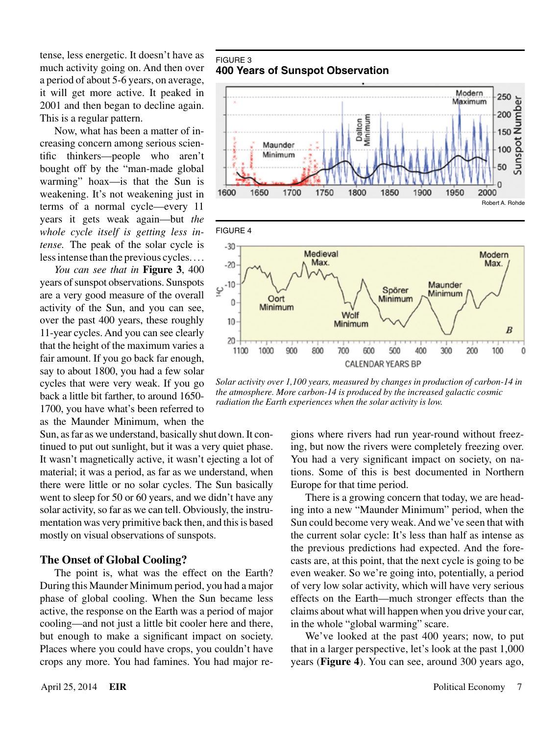tense, less energetic. It doesn't have as much activity going on. And then over a period of about 5-6 years, on average, it will get more active. It peaked in 2001 and then began to decline again. This is a regular pattern.

Now, what has been a matter of increasing concern among serious scientific thinkers—people who aren't bought off by the "man-made global warming" hoax—is that the Sun is weakening. It's not weakening just in terms of a normal cycle—every 11 years it gets weak again—but *the whole cycle itself is getting less intense.* The peak of the solar cycle is less intense than the previous cycles....

*You can see that in* **Figure 3**, 400 years of sunspot observations. Sunspots are a very good measure of the overall activity of the Sun, and you can see, over the past 400 years, these roughly 11-year cycles. And you can see clearly that the height of the maximum varies a fair amount. If you go back far enough, say to about 1800, you had a few solar cycles that were very weak. If you go back a little bit farther, to around 1650- 1700, you have what's been referred to as the Maunder Minimum, when the

Sun, as far as we understand, basically shut down. It continued to put out sunlight, but it was a very quiet phase. It wasn't magnetically active, it wasn't ejecting a lot of material; it was a period, as far as we understand, when there were little or no solar cycles. The Sun basically went to sleep for 50 or 60 years, and we didn't have any solar activity, so far as we can tell. Obviously, the instrumentation was very primitive back then, and this is based mostly on visual observations of sunspots.

#### **The Onset of Global Cooling?**

The point is, what was the effect on the Earth? During this Maunder Minimum period, you had a major phase of global cooling. When the Sun became less active, the response on the Earth was a period of major cooling—and not just a little bit cooler here and there, but enough to make a significant impact on society. Places where you could have crops, you couldn't have crops any more. You had famines. You had major re-

#### FIGURE 3 **400 Years of Sunspot Observation**



*Solar activity over 1,100 years, measured by changes in production of carbon-14 in the atmosphere. More carbon-14 is produced by the increased galactic cosmic radiation the Earth experiences when the solar activity is low.*

gions where rivers had run year-round without freezing, but now the rivers were completely freezing over. You had a very significant impact on society, on nations. Some of this is best documented in Northern Europe for that time period.

There is a growing concern that today, we are heading into a new "Maunder Minimum" period, when the Sun could become very weak. And we've seen that with the current solar cycle: It's less than half as intense as the previous predictions had expected. And the forecasts are, at this point, that the next cycle is going to be even weaker. So we're going into, potentially, a period of very low solar activity, which will have very serious effects on the Earth—much stronger effects than the claims about what will happen when you drive your car, in the whole "global warming" scare.

We've looked at the past 400 years; now, to put that in a larger perspective, let's look at the past 1,000 years (**Figure 4**). You can see, around 300 years ago,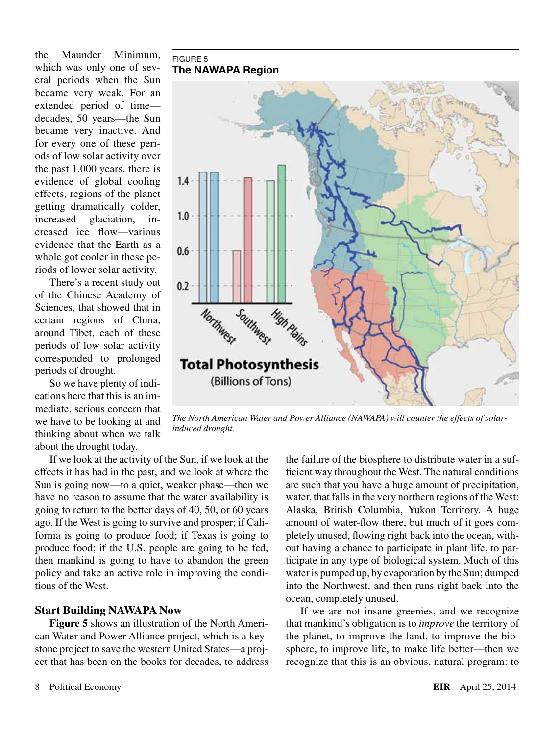the Maunder Minimum, which was only one of several periods when the Sun became very weak. For an extended period of time decades, 50 years—the Sun became very inactive. And for every one of these periods of low solar activity over the past 1,000 years, there is evidence of global cooling effects, regions of the planet getting dramatically colder, increased glaciation, increased ice flow—various evidence that the Earth as a whole got cooler in these periods of lower solar activity.

There's a recent study out of the Chinese Academy of Sciences, that showed that in certain regions of China, around Tibet, each of these periods of low solar activity corresponded to prolonged periods of drought.

So we have plenty of indications here that this is an immediate, serious concern that we have to be looking at and thinking about when we talk about the drought today.

#### FIGURE 5 **The NAWAPA Region**



*The North American Water and Power Alliance (NAWAPA) will counter the effects of solarinduced drought.*

If we look at the activity of the Sun, if we look at the effects it has had in the past, and we look at where the Sun is going now—to a quiet, weaker phase—then we have no reason to assume that the water availability is going to return to the better days of 40, 50, or 60 years ago. If the West is going to survive and prosper; if California is going to produce food; if Texas is going to produce food; if the U.S. people are going to be fed, then mankind is going to have to abandon the green policy and take an active role in improving the conditions of the West.

## **Start Building NAWAPA Now**

**Figure 5** shows an illustration of the North American Water and Power Alliance project, which is a keystone project to save the western United States—a project that has been on the books for decades, to address the failure of the biosphere to distribute water in a sufficient way throughout the West. The natural conditions are such that you have a huge amount of precipitation, water, that falls in the very northern regions of the West: Alaska, British Columbia, Yukon Territory. A huge amount of water-flow there, but much of it goes completely unused, flowing right back into the ocean, without having a chance to participate in plant life, to participate in any type of biological system. Much of this water is pumped up, by evaporation by the Sun; dumped into the Northwest, and then runs right back into the ocean, completely unused.

If we are not insane greenies, and we recognize that mankind's obligation is to *improve* the territory of the planet, to improve the land, to improve the biosphere, to improve life, to make life better—then we recognize that this is an obvious, natural program: to